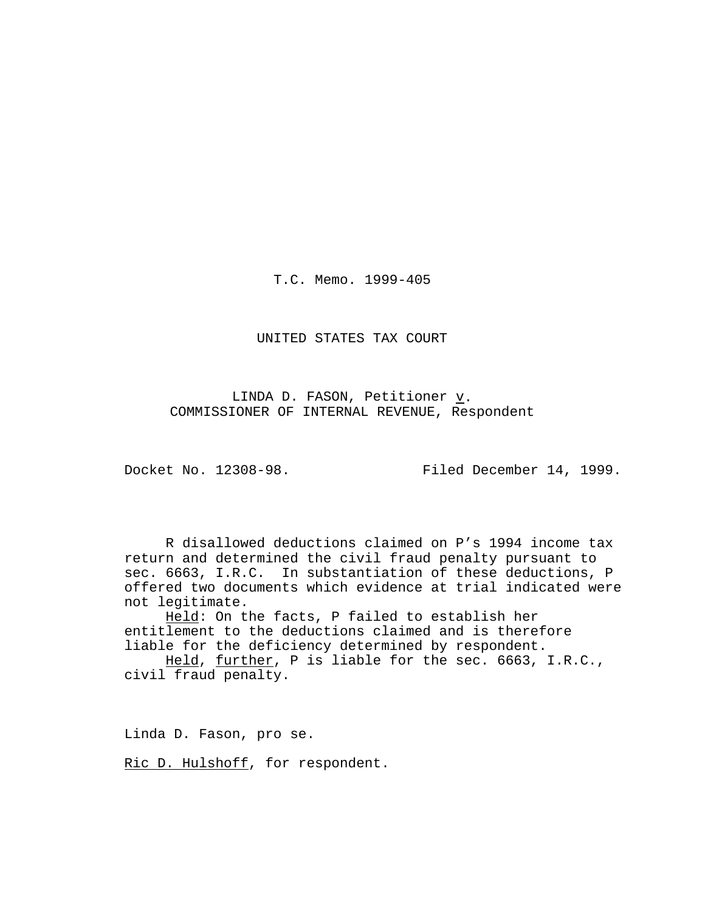T.C. Memo. 1999-405

UNITED STATES TAX COURT

LINDA D. FASON, Petitioner  $\underline{v}$ . COMMISSIONER OF INTERNAL REVENUE, Respondent

Docket No. 12308-98. Filed December 14, 1999.

R disallowed deductions claimed on P's 1994 income tax return and determined the civil fraud penalty pursuant to sec. 6663, I.R.C. In substantiation of these deductions, P offered two documents which evidence at trial indicated were not legitimate.

Held: On the facts, P failed to establish her entitlement to the deductions claimed and is therefore liable for the deficiency determined by respondent.

Held, further, P is liable for the sec. 6663, I.R.C., civil fraud penalty.

Linda D. Fason, pro se.

Ric D. Hulshoff, for respondent.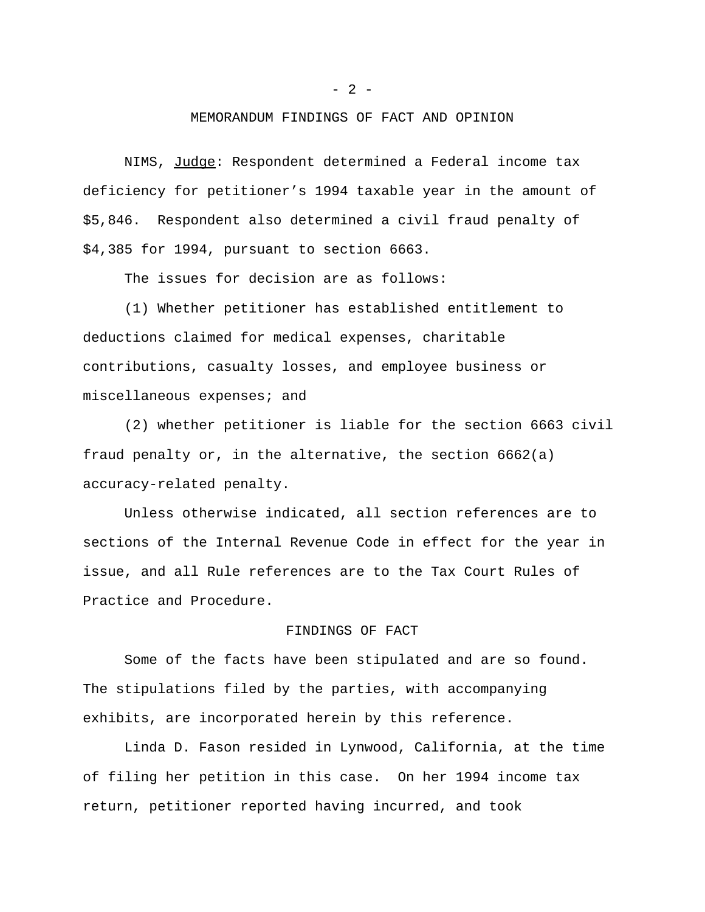### MEMORANDUM FINDINGS OF FACT AND OPINION

NIMS, Judge: Respondent determined a Federal income tax deficiency for petitioner's 1994 taxable year in the amount of \$5,846. Respondent also determined a civil fraud penalty of \$4,385 for 1994, pursuant to section 6663.

The issues for decision are as follows:

(1) Whether petitioner has established entitlement to deductions claimed for medical expenses, charitable contributions, casualty losses, and employee business or miscellaneous expenses; and

(2) whether petitioner is liable for the section 6663 civil fraud penalty or, in the alternative, the section 6662(a) accuracy-related penalty.

Unless otherwise indicated, all section references are to sections of the Internal Revenue Code in effect for the year in issue, and all Rule references are to the Tax Court Rules of Practice and Procedure.

# FINDINGS OF FACT

Some of the facts have been stipulated and are so found. The stipulations filed by the parties, with accompanying exhibits, are incorporated herein by this reference.

Linda D. Fason resided in Lynwood, California, at the time of filing her petition in this case. On her 1994 income tax return, petitioner reported having incurred, and took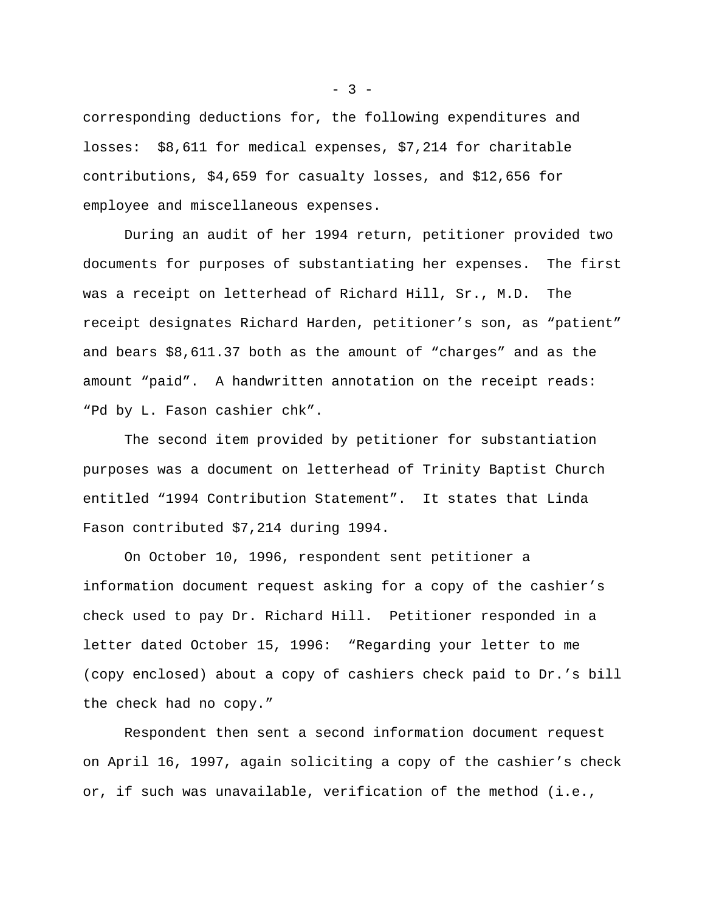corresponding deductions for, the following expenditures and losses: \$8,611 for medical expenses, \$7,214 for charitable contributions, \$4,659 for casualty losses, and \$12,656 for employee and miscellaneous expenses.

During an audit of her 1994 return, petitioner provided two documents for purposes of substantiating her expenses. The first was a receipt on letterhead of Richard Hill, Sr., M.D. The receipt designates Richard Harden, petitioner's son, as "patient" and bears \$8,611.37 both as the amount of "charges" and as the amount "paid". A handwritten annotation on the receipt reads: "Pd by L. Fason cashier chk".

The second item provided by petitioner for substantiation purposes was a document on letterhead of Trinity Baptist Church entitled "1994 Contribution Statement". It states that Linda Fason contributed \$7,214 during 1994.

On October 10, 1996, respondent sent petitioner a information document request asking for a copy of the cashier's check used to pay Dr. Richard Hill. Petitioner responded in a letter dated October 15, 1996: "Regarding your letter to me (copy enclosed) about a copy of cashiers check paid to Dr.'s bill the check had no copy."

Respondent then sent a second information document request on April 16, 1997, again soliciting a copy of the cashier's check or, if such was unavailable, verification of the method (i.e.,

 $-3 -$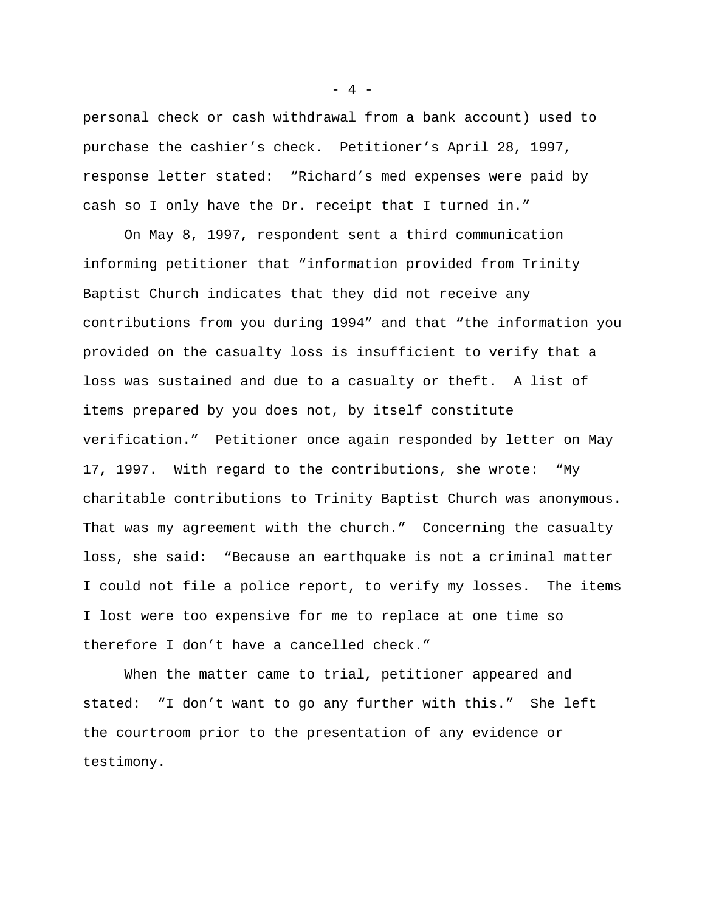personal check or cash withdrawal from a bank account) used to purchase the cashier's check. Petitioner's April 28, 1997, response letter stated: "Richard's med expenses were paid by cash so I only have the Dr. receipt that I turned in."

On May 8, 1997, respondent sent a third communication informing petitioner that "information provided from Trinity Baptist Church indicates that they did not receive any contributions from you during 1994" and that "the information you provided on the casualty loss is insufficient to verify that a loss was sustained and due to a casualty or theft. A list of items prepared by you does not, by itself constitute verification." Petitioner once again responded by letter on May 17, 1997. With regard to the contributions, she wrote: "My charitable contributions to Trinity Baptist Church was anonymous. That was my agreement with the church." Concerning the casualty loss, she said: "Because an earthquake is not a criminal matter I could not file a police report, to verify my losses. The items I lost were too expensive for me to replace at one time so therefore I don't have a cancelled check."

When the matter came to trial, petitioner appeared and stated: "I don't want to go any further with this." She left the courtroom prior to the presentation of any evidence or testimony.

 $- 4 -$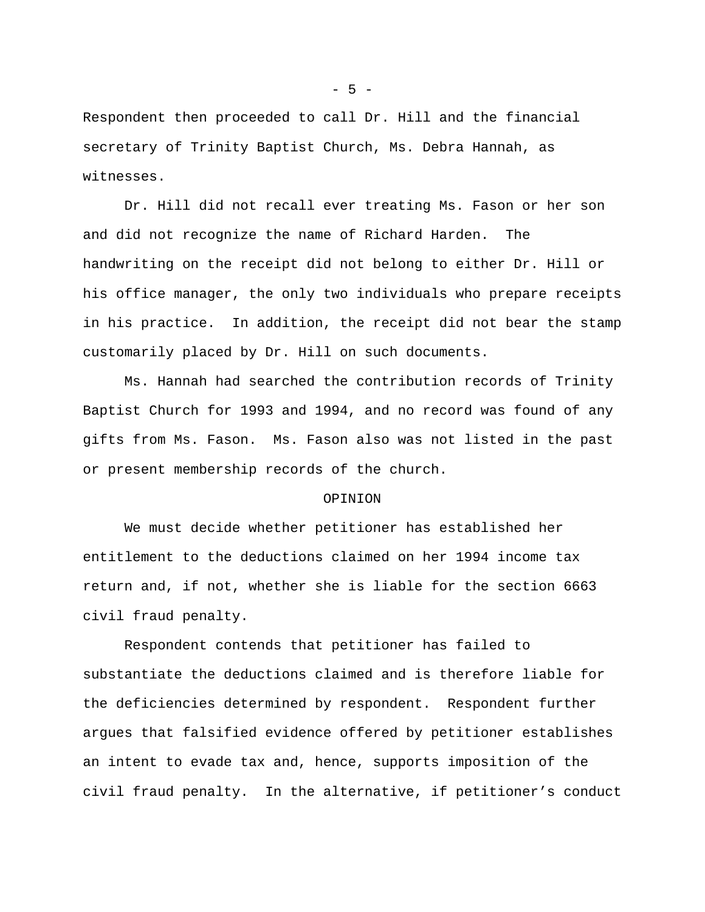Respondent then proceeded to call Dr. Hill and the financial secretary of Trinity Baptist Church, Ms. Debra Hannah, as witnesses.

Dr. Hill did not recall ever treating Ms. Fason or her son and did not recognize the name of Richard Harden. The handwriting on the receipt did not belong to either Dr. Hill or his office manager, the only two individuals who prepare receipts in his practice. In addition, the receipt did not bear the stamp customarily placed by Dr. Hill on such documents.

Ms. Hannah had searched the contribution records of Trinity Baptist Church for 1993 and 1994, and no record was found of any gifts from Ms. Fason. Ms. Fason also was not listed in the past or present membership records of the church.

#### OPINION

We must decide whether petitioner has established her entitlement to the deductions claimed on her 1994 income tax return and, if not, whether she is liable for the section 6663 civil fraud penalty.

Respondent contends that petitioner has failed to substantiate the deductions claimed and is therefore liable for the deficiencies determined by respondent. Respondent further argues that falsified evidence offered by petitioner establishes an intent to evade tax and, hence, supports imposition of the civil fraud penalty. In the alternative, if petitioner's conduct

- 5 -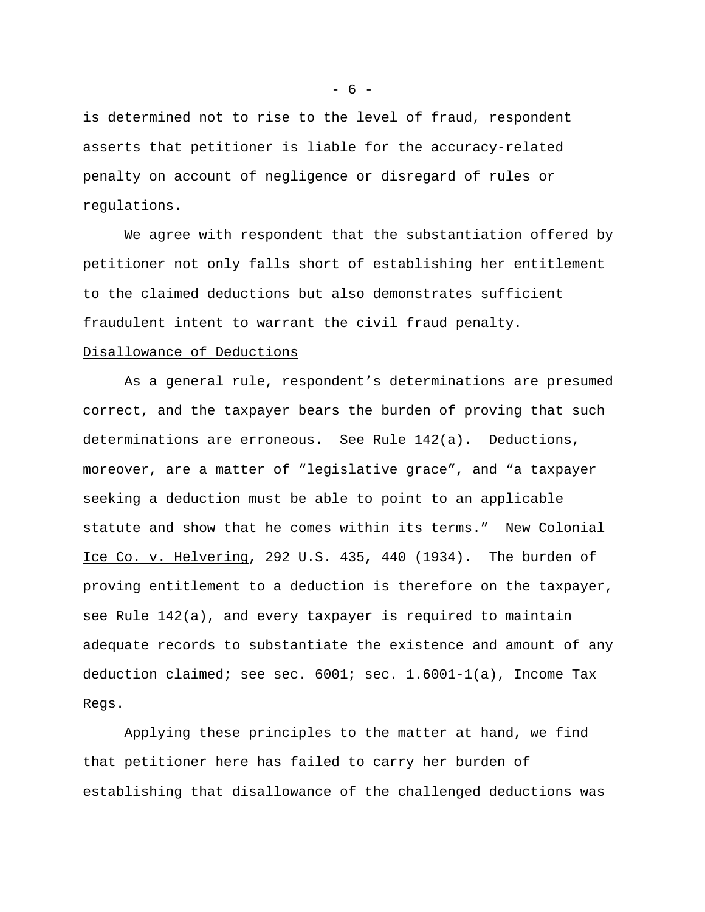is determined not to rise to the level of fraud, respondent asserts that petitioner is liable for the accuracy-related penalty on account of negligence or disregard of rules or regulations.

We agree with respondent that the substantiation offered by petitioner not only falls short of establishing her entitlement to the claimed deductions but also demonstrates sufficient fraudulent intent to warrant the civil fraud penalty.

## Disallowance of Deductions

As a general rule, respondent's determinations are presumed correct, and the taxpayer bears the burden of proving that such determinations are erroneous. See Rule 142(a). Deductions, moreover, are a matter of "legislative grace", and "a taxpayer seeking a deduction must be able to point to an applicable statute and show that he comes within its terms." New Colonial Ice Co. v. Helvering, 292 U.S. 435, 440 (1934). The burden of proving entitlement to a deduction is therefore on the taxpayer, see Rule 142(a), and every taxpayer is required to maintain adequate records to substantiate the existence and amount of any deduction claimed; see sec.  $6001$ ; sec.  $1.6001 - 1(a)$ , Income Tax Regs.

Applying these principles to the matter at hand, we find that petitioner here has failed to carry her burden of establishing that disallowance of the challenged deductions was

 $- 6 -$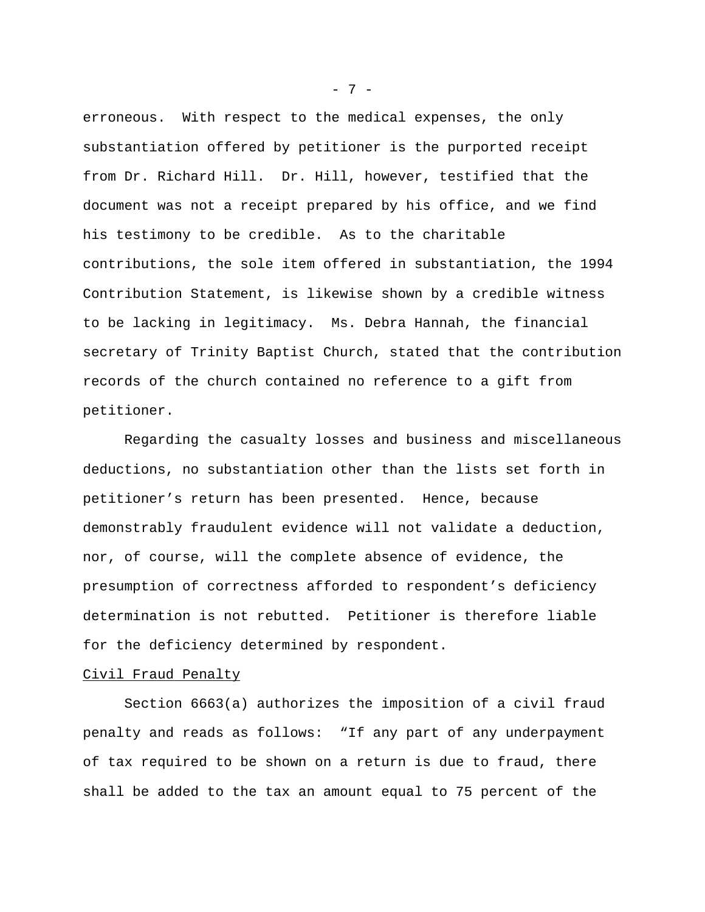erroneous. With respect to the medical expenses, the only substantiation offered by petitioner is the purported receipt from Dr. Richard Hill. Dr. Hill, however, testified that the document was not a receipt prepared by his office, and we find his testimony to be credible. As to the charitable contributions, the sole item offered in substantiation, the 1994 Contribution Statement, is likewise shown by a credible witness to be lacking in legitimacy. Ms. Debra Hannah, the financial secretary of Trinity Baptist Church, stated that the contribution records of the church contained no reference to a gift from petitioner.

Regarding the casualty losses and business and miscellaneous deductions, no substantiation other than the lists set forth in petitioner's return has been presented. Hence, because demonstrably fraudulent evidence will not validate a deduction, nor, of course, will the complete absence of evidence, the presumption of correctness afforded to respondent's deficiency determination is not rebutted. Petitioner is therefore liable for the deficiency determined by respondent.

#### Civil Fraud Penalty

Section 6663(a) authorizes the imposition of a civil fraud penalty and reads as follows: "If any part of any underpayment of tax required to be shown on a return is due to fraud, there shall be added to the tax an amount equal to 75 percent of the

- 7 -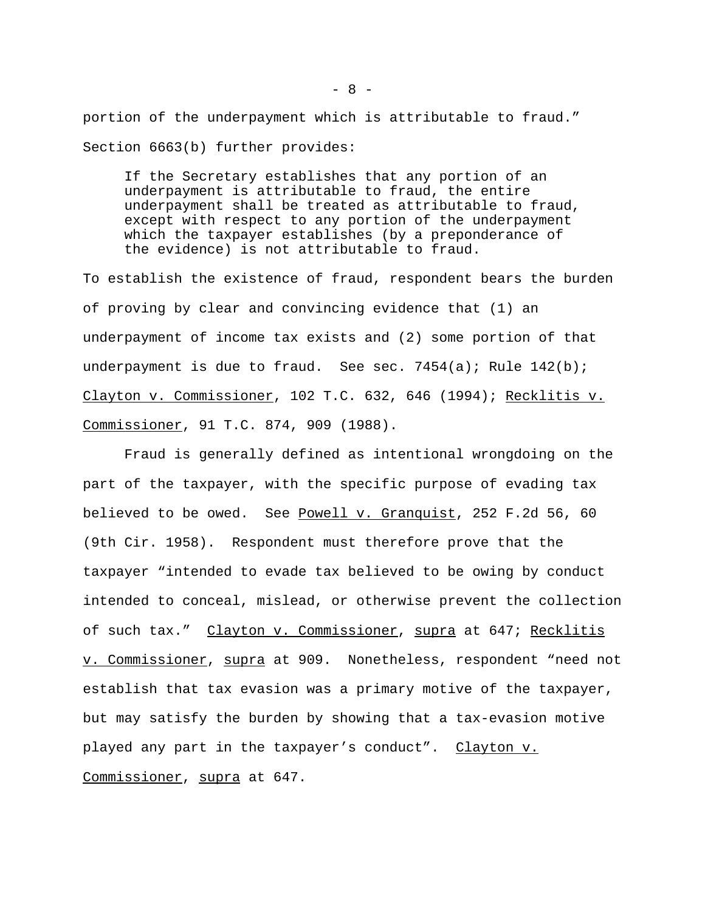portion of the underpayment which is attributable to fraud." Section 6663(b) further provides:

If the Secretary establishes that any portion of an underpayment is attributable to fraud, the entire underpayment shall be treated as attributable to fraud, except with respect to any portion of the underpayment which the taxpayer establishes (by a preponderance of the evidence) is not attributable to fraud.

To establish the existence of fraud, respondent bears the burden of proving by clear and convincing evidence that (1) an underpayment of income tax exists and (2) some portion of that underpayment is due to fraud. See sec.  $7454(a)$ ; Rule  $142(b)$ ; Clayton v. Commissioner, 102 T.C. 632, 646 (1994); Recklitis v. Commissioner, 91 T.C. 874, 909 (1988).

Fraud is generally defined as intentional wrongdoing on the part of the taxpayer, with the specific purpose of evading tax believed to be owed. See Powell v. Granquist, 252 F.2d 56, 60 (9th Cir. 1958). Respondent must therefore prove that the taxpayer "intended to evade tax believed to be owing by conduct intended to conceal, mislead, or otherwise prevent the collection of such tax." Clayton v. Commissioner, supra at 647; Recklitis v. Commissioner, supra at 909. Nonetheless, respondent "need not establish that tax evasion was a primary motive of the taxpayer, but may satisfy the burden by showing that a tax-evasion motive played any part in the taxpayer's conduct". Clayton v. Commissioner, supra at 647.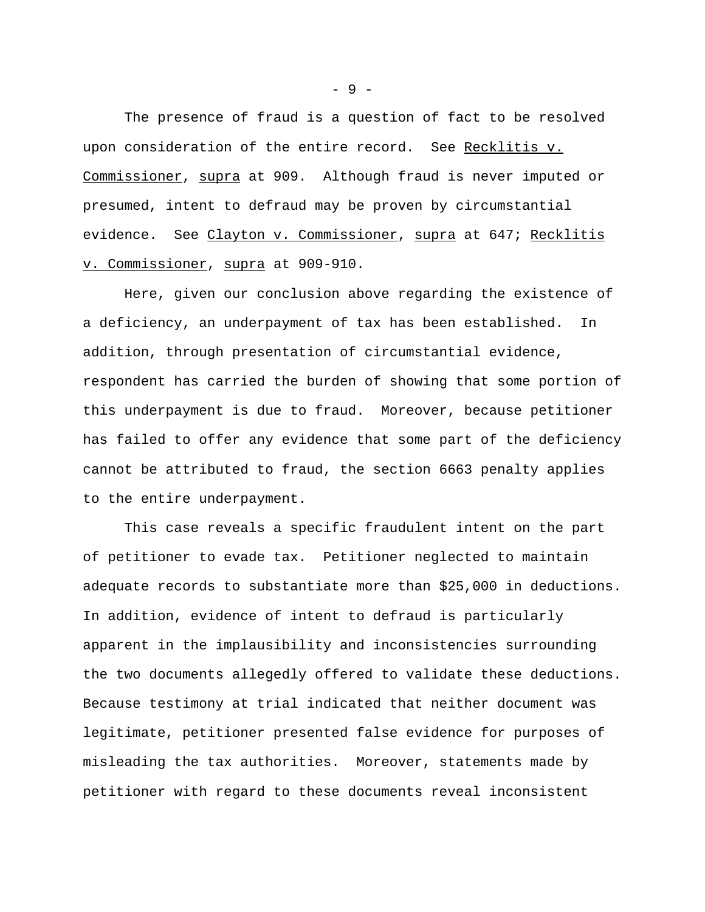The presence of fraud is a question of fact to be resolved upon consideration of the entire record. See Recklitis v. Commissioner, supra at 909. Although fraud is never imputed or presumed, intent to defraud may be proven by circumstantial evidence. See Clayton v. Commissioner, supra at 647; Recklitis v. Commissioner, supra at 909-910.

Here, given our conclusion above regarding the existence of a deficiency, an underpayment of tax has been established. In addition, through presentation of circumstantial evidence, respondent has carried the burden of showing that some portion of this underpayment is due to fraud. Moreover, because petitioner has failed to offer any evidence that some part of the deficiency cannot be attributed to fraud, the section 6663 penalty applies to the entire underpayment.

This case reveals a specific fraudulent intent on the part of petitioner to evade tax. Petitioner neglected to maintain adequate records to substantiate more than \$25,000 in deductions. In addition, evidence of intent to defraud is particularly apparent in the implausibility and inconsistencies surrounding the two documents allegedly offered to validate these deductions. Because testimony at trial indicated that neither document was legitimate, petitioner presented false evidence for purposes of misleading the tax authorities. Moreover, statements made by petitioner with regard to these documents reveal inconsistent

- 9 -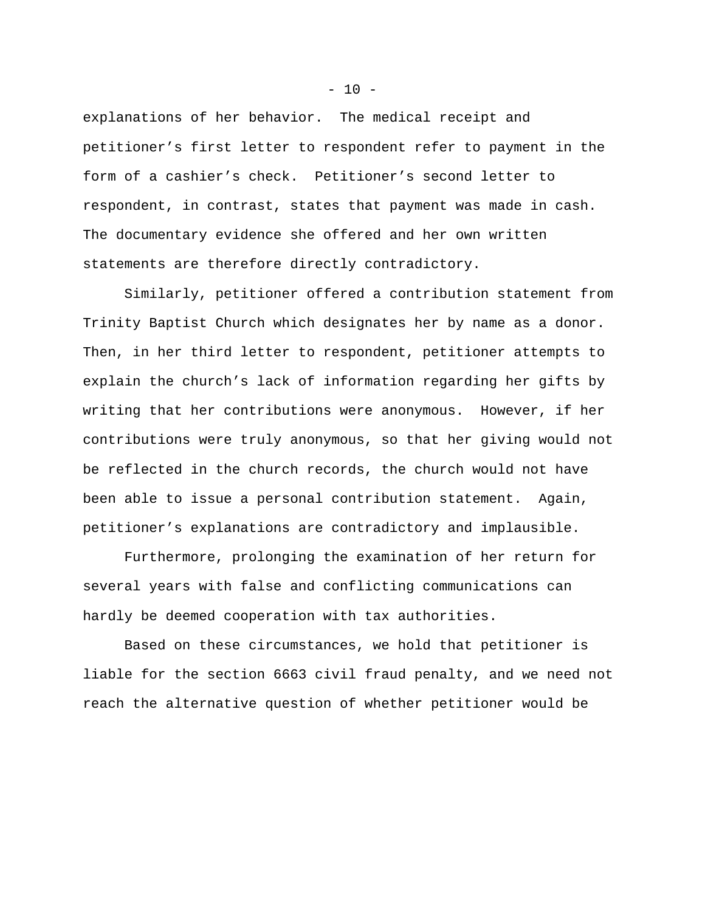explanations of her behavior. The medical receipt and petitioner's first letter to respondent refer to payment in the form of a cashier's check. Petitioner's second letter to respondent, in contrast, states that payment was made in cash. The documentary evidence she offered and her own written statements are therefore directly contradictory.

Similarly, petitioner offered a contribution statement from Trinity Baptist Church which designates her by name as a donor. Then, in her third letter to respondent, petitioner attempts to explain the church's lack of information regarding her gifts by writing that her contributions were anonymous. However, if her contributions were truly anonymous, so that her giving would not be reflected in the church records, the church would not have been able to issue a personal contribution statement. Again, petitioner's explanations are contradictory and implausible.

Furthermore, prolonging the examination of her return for several years with false and conflicting communications can hardly be deemed cooperation with tax authorities.

Based on these circumstances, we hold that petitioner is liable for the section 6663 civil fraud penalty, and we need not reach the alternative question of whether petitioner would be

 $- 10 -$